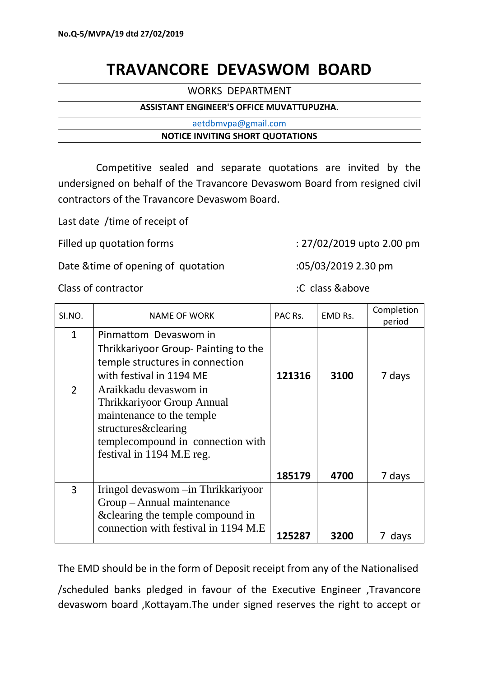## **TRAVANCORE DEVASWOM BOARD**

WORKS DEPARTMENT

## **ASSISTANT ENGINEER'S OFFICE MUVATTUPUZHA.**

[aetdbmvpa@gmail.com](mailto:aetdbmvpa@gmail.com)

## **NOTICE INVITING SHORT QUOTATIONS**

 Competitive sealed and separate quotations are invited by the undersigned on behalf of the Travancore Devaswom Board from resigned civil contractors of the Travancore Devaswom Board.

Last date /time of receipt of

Filled up quotation forms : 27/02/2019 upto 2.00 pm

Date &time of opening of quotation :05/03/2019 2.30 pm

## Class of contractor :C class &above

| SI.NO.         | <b>NAME OF WORK</b>                   | PAC Rs. | EMD Rs. | Completion<br>period |
|----------------|---------------------------------------|---------|---------|----------------------|
| $\mathbf{1}$   | Pinmattom Devaswom in                 |         |         |                      |
|                | Thrikkariyoor Group- Painting to the  |         |         |                      |
|                | temple structures in connection       |         |         |                      |
|                | with festival in 1194 ME              | 121316  | 3100    | 7 days               |
| $\overline{2}$ | Araikkadu devaswom in                 |         |         |                      |
|                | Thrikkariyoor Group Annual            |         |         |                      |
|                | maintenance to the temple             |         |         |                      |
|                | structures&clearing                   |         |         |                      |
|                | templecompound in connection with     |         |         |                      |
|                | festival in 1194 M.E reg.             |         |         |                      |
|                |                                       | 185179  | 4700    | 7 days               |
| 3              | Iringol devaswom -in Thrikkariyoor    |         |         |                      |
|                | Group - Annual maintenance            |         |         |                      |
|                | & clearing the temple compound in     |         |         |                      |
|                | connection with festival in 1194 M.E. | 125287  | 3200    | days                 |
|                |                                       |         |         |                      |

The EMD should be in the form of Deposit receipt from any of the Nationalised

/scheduled banks pledged in favour of the Executive Engineer ,Travancore devaswom board ,Kottayam.The under signed reserves the right to accept or